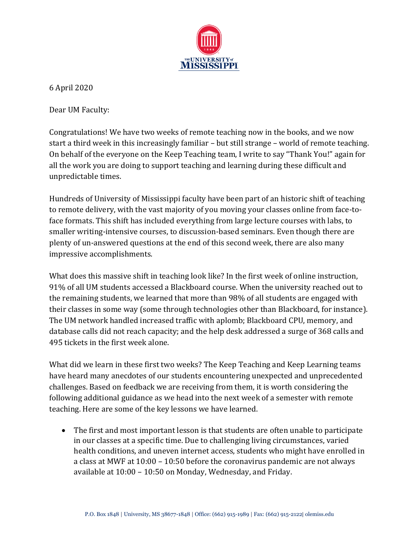

6 April 2020

Dear UM Faculty:

Congratulations! We have two weeks of remote teaching now in the books, and we now start a third week in this increasingly familiar – but still strange – world of remote teaching. On behalf of the everyone on the Keep Teaching team, I write to say "Thank You!" again for all the work you are doing to support teaching and learning during these difficult and unpredictable times.

Hundreds of University of Mississippi faculty have been part of an historic shift of teaching to remote delivery, with the vast majority of you moving your classes online from face-toface formats. This shift has included everything from large lecture courses with labs, to smaller writing-intensive courses, to discussion-based seminars. Even though there are plenty of un-answered questions at the end of this second week, there are also many impressive accomplishments.

What does this massive shift in teaching look like? In the first week of online instruction, 91% of all UM students accessed a Blackboard course. When the university reached out to the remaining students, we learned that more than 98% of all students are engaged with their classes in some way (some through technologies other than Blackboard, for instance). The UM network handled increased traffic with aplomb; Blackboard CPU, memory, and database calls did not reach capacity; and the help desk addressed a surge of 368 calls and 495 tickets in the first week alone.

What did we learn in these first two weeks? The Keep Teaching and Keep Learning teams have heard many anecdotes of our students encountering unexpected and unprecedented challenges. Based on feedback we are receiving from them, it is worth considering the following additional guidance as we head into the next week of a semester with remote teaching. Here are some of the key lessons we have learned.

 The first and most important lesson is that students are often unable to participate in our classes at a specific time. Due to challenging living circumstances, varied health conditions, and uneven internet access, students who might have enrolled in a class at MWF at 10:00 – 10:50 before the coronavirus pandemic are not always available at 10:00 – 10:50 on Monday, Wednesday, and Friday.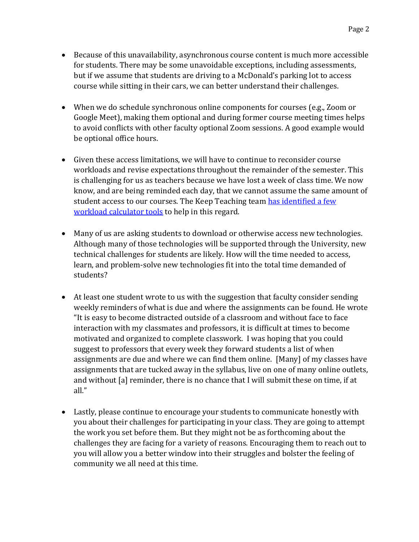- Because of this unavailability, asynchronous course content is much more accessible for students. There may be some unavoidable exceptions, including assessments, but if we assume that students are driving to a McDonald's parking lot to access course while sitting in their cars, we can better understand their challenges.
- When we do schedule synchronous online components for courses (e.g., Zoom or Google Meet), making them optional and during former course meeting times helps to avoid conflicts with other faculty optional Zoom sessions. A good example would be optional office hours.
- Given these access limitations, we will have to continue to reconsider course workloads and revise expectations throughout the remainder of the semester. This is challenging for us as teachers because we have lost a week of class time. We now know, and are being reminded each day, that we cannot assume the same amount of student access to our courses. The Keep Teaching team has identified a few [workload calculator tools](https://elearning.olemiss.edu/faculty/academic-continuity/resources/#Workload) to help in this regard.
- Many of us are asking students to download or otherwise access new technologies. Although many of those technologies will be supported through the University, new technical challenges for students are likely. How will the time needed to access, learn, and problem-solve new technologies fit into the total time demanded of students?
- At least one student wrote to us with the suggestion that faculty consider sending weekly reminders of what is due and where the assignments can be found. He wrote "It is easy to become distracted outside of a classroom and without face to face interaction with my classmates and professors, it is difficult at times to become motivated and organized to complete classwork. I was hoping that you could suggest to professors that every week they forward students a list of when assignments are due and where we can find them online. [Many] of my classes have assignments that are tucked away in the syllabus, live on one of many online outlets, and without [a] reminder, there is no chance that I will submit these on time, if at all."
- Lastly, please continue to encourage your students to communicate honestly with you about their challenges for participating in your class. They are going to attempt the work you set before them. But they might not be as forthcoming about the challenges they are facing for a variety of reasons. Encouraging them to reach out to you will allow you a better window into their struggles and bolster the feeling of community we all need at this time.